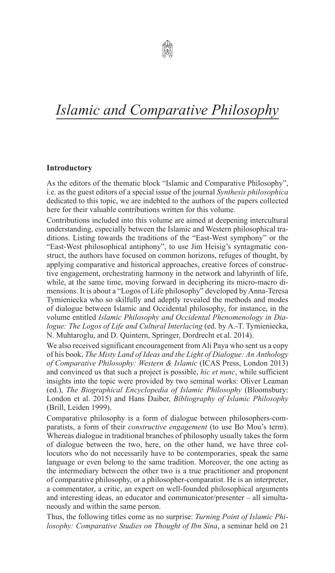## *Islamic and Comparative Philosophy*

## **Introductory**

As the editors of the thematic block "Islamic and Comparative philosophy", i.e. as the guest editors of a special issue of the journal *Synthesis philosophica* dedicated to this topic, we are indebted to the authors of the papers collected here for their valuable contributions written for this volume.

Contributions included into this volume are aimed at deepening intercultural understanding, especially between the Islamic and Western philosophical traditions. Listing towards the traditions of the "East-West symphony" or the "East-West philosophical antiphony", to use Jim Heisig's syntagmatic construct, the authors have focused on common horizons, refuges of thought, by applying comparative and historical approaches, creative forces of constructive engagement, orchestrating harmony in the network and labyrinth of life, while, at the same time, moving forward in deciphering its micro-macro dimensions. It is about a "Logos of Life philosophy" developed by Anna-Teresa Tymieniecka who so skilfully and adeptly revealed the methods and modes of dialogue between Islamic and Occidental philosophy, for instance, in the volume entitled *Islamic Philosophy and Occidental Phenomenology in Dialogue: The Logos of Life and Cultural Interlacing* (ed. by A.-T. Tymieniecka, N. Muhtaroglu, and D. Quintern, Springer, Dordrecht et al. 2014).

We also received significant encouragement from Ali Paya who sent us a copy of his book, *The Misty Land of Ideas and the Light of Dialogue: An Anthology of Comparative Philosophy: Western & Islamic* (ICAS Press, London 2013) and convinced us that such a project is possible, *hic et nunc*, while sufficient insights into the topic were provided by two seminal works: Oliver Leaman (ed.), *The Biographical Encyclopedia of Islamic Philosophy* (Bloomsbury: London et al. 2015) and Hans Daiber, *Bibliography of Islamic Philosophy* (Brill, Leiden 1999).

Comparative philosophy is a form of dialogue between philosophers-comparatists, a form of their *constructive engagement* (to use Bo Mou's term). Whereas dialogue in traditional branches of philosophy usually takes the form of dialogue between the two, here, on the other hand, we have three collocutors who do not necessarily have to be contemporaries, speak the same language or even belong to the same tradition. Moreover, the one acting as the intermediary between the other two is a true practitioner and proponent of comparative philosophy, or a philosopher-comparatist. He is an interpreter, a commentator, a critic, an expert on well-founded philosophical arguments and interesting ideas, an educator and communicator/presenter – all simultaneously and within the same person.

Thus, the following titles come as no surprise: *Turning Point of Islamic Philosophy: Comparative Studies on Thought of Ibn Sina*, a seminar held on 21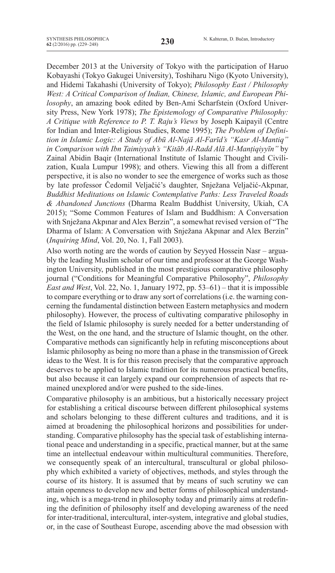December 2013 at the University of Tokyo with the participation of Haruo Kobayashi (Tokyo Gakugei University), Toshiharu Nigo (Kyoto University), and Hidemi Takahashi (University of Tokyo); *Philosophy East / Philosophy West: A Critical Comparison of Indian, Chinese, Islamic, and European Philosophy*, an amazing book edited by Ben-Ami Scharfstein (Oxford University Press, New York 1978); *The Epistemology of Comparative Philosophy: A Critique with Reference to P. T. Raju's Views* by Joseph Kaipayil (Centre for Indian and Inter-Religious Studies, Rome 1995); *The Problem of Definition in Islamic Logic: A Study of Abū Al-Najā Al-Farīd's "Kasr Al-Mantiq" in Comparison with Ibn Taimiyyah's "Kitāb Al-Radd Alā Al-Manṭiqiyyīn"* by Zainal Abidin Baqir (International Institute of Islamic Thought and Civilization, Kuala Lumpur 1998); and others. Viewing this all from a different perspective, it is also no wonder to see the emergence of works such as those by late professor Čedomil Veljačić's daughter, Snježana Veljačić-Akpınar, *Buddhist Meditations on Islamic Contemplative Paths: Less Traveled Roads & Abandoned Junctions* (Dharma Realm Buddhist University, Ukiah, CA 2015); "Some Common Features of Islam and Buddhism: A Conversation with Snježana Akpınar and Alex Berzin", a somewhat revised version of "The Dharma of Islam: A Conversation with Snježana Akpınar and Alex Berzin" (*Inquiring Mind*, vol. 20, no. 1, Fall 2003).

Also worth noting are the words of caution by Seyyed Hossein Nasr – arguably the leading Muslim scholar of our time and professor at the George Washington University, published in the most prestigious comparative philosophy journal ("Conditions for Meaningful Comparative Philosophy", *Philosophy East and West*, Vol. 22, No. 1, January 1972, pp. 53–61) – that it is impossible to compare everything or to draw any sort of correlations(i.e. the warning concerning the fundamental distinction between Eastern metaphysics and modern philosophy). However, the process of cultivating comparative philosophy in the field of Islamic philosophy is surely needed for a better understanding of the West, on the one hand, and the structure of Islamic thought, on the other. Comparative methods can significantly help in refuting misconceptions about Islamic philosophy as being no more than a phase in the transmission of Greek ideas to the West. It is for this reason precisely that the comparative approach deserves to be applied to Islamic tradition for its numerous practical benefits, but also because it can largely expand our comprehension of aspects that remained unexplored and/or were pushed to the side-lines.

Comparative philosophy is an ambitious, but a historically necessary project for establishing a critical discourse between different philosophical systems and scholars belonging to these different cultures and traditions, and it is aimed at broadening the philosophical horizons and possibilities for understanding. Comparative philosophy has the special task of establishing international peace and understanding in a specific, practical manner, but at the same time an intellectual endeavour within multicultural communities. Therefore, we consequently speak of an intercultural, transcultural or global philosophy which exhibited a variety of objectives, methods, and styles through the course of its history. It is assumed that by means of such scrutiny we can attain openness to develop new and better forms of philosophical understanding, which is a mega-trend in philosophy today and primarily aims at redefining the definition of philosophy itself and developing awareness of the need for inter-traditional, intercultural, inter-system, integrative and global studies, or, in the case of Southeast Europe, ascending above the mad obsession with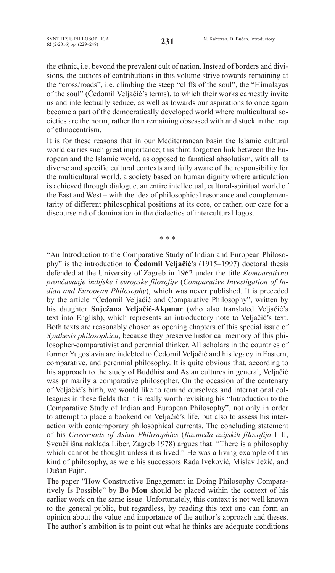the ethnic, i.e. beyond the prevalent cult of nation. Instead of borders and divisions, the authors of contributions in this volume strive towards remaining at the "cross/roads", i.e. climbing the steep "cliffs of the soul", the "Himalayas of the soul" (Čedomil Veljačić's terms), to which their works earnestly invite us and intellectually seduce, as well as towards our aspirations to once again become a part of the democratically developed world where multicultural societies are the norm, rather than remaining obsessed with and stuck in the trap of ethnocentrism.

It is for these reasons that in our Mediterranean basin the Islamic cultural world carries such great importance; this third forgotten link between the European and the Islamic world, as opposed to fanatical absolutism, with all its diverse and specific cultural contexts and fully aware of the responsibility for the multicultural world, a society based on human dignity where articulation is achieved through dialogue, an entire intellectual, cultural-spiritual world of the East and West – with the idea of philosophical resonance and complementarity of different philosophical positions at its core, or rather, our care for a discourse rid of domination in the dialectics of intercultural logos.

\* \* \*

"An Introduction to the Comparative Study of Indian and European Philosophy" is the introduction to **Čedomil Veljačić**'s (1915–1997) doctoral thesis defended at the University of Zagreb in 1962 under the title *Komparativno proučavanje indijske i evropske filozofije* (*Comparative Investigation of Indian and European Philosophy*), which was never published. It is preceded by the article "Čedomil Veljačić and Comparative Philosophy", written by his daughter **Snježana Veljačić-Akpınar** (who also translated Veljačić's text into English), which represents an introductory note to Veljačić's text. Both texts are reasonably chosen as opening chapters of this special issue of *Synthesis philosophica*, because they preserve historical memory of this philosopher-comparativist and perennial thinker. All scholars in the countries of former Yugoslavia are indebted to Čedomil Veljačić and his legacy in Eastern, comparative, and perennial philosophy. It is quite obvious that, according to his approach to the study of Buddhist and Asian cultures in general, Veljačić was primarily a comparative philosopher. On the occasion of the centenary of Veljačić's birth, we would like to remind ourselves and international colleagues in these fields that it is really worth revisiting his "Introduction to the Comparative Study of Indian and European Philosophy", not only in order to attempt to place a bookend on Veljačić's life, but also to assess his interaction with contemporary philosophical currents. The concluding statement of his *Crossroads of Asian Philosophies* (*Razmeđa azijskih filozofija* I–II, Sveučilišna naklada Liber, Zagreb 1978) argues that: "There is a philosophy which cannot be thought unless it is lived." He was a living example of this kind of philosophy, as were his successors Rada Iveković, Mislav Ježić, and Dušan Pajin.

The paper "How Constructive Engagement in Doing Philosophy Comparatively Is Possible" by **Bo Mou** should be placed within the context of his earlier work on the same issue. Unfortunately, this context is not well known to the general public, but regardless, by reading this text one can form an opinion about the value and importance of the author's approach and theses. The author's ambition is to point out what he thinks are adequate conditions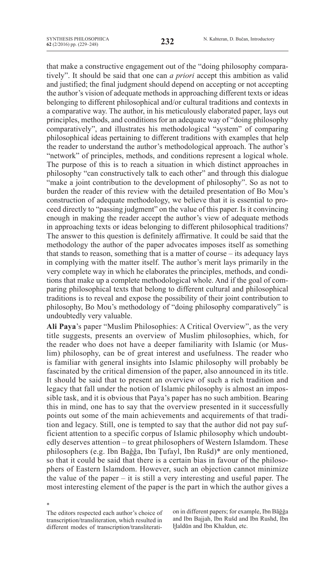that make a constructive engagement out of the "doing philosophy comparatively". It should be said that one can *a priori* accept this ambition as valid and justified; the final judgment should depend on accepting or not accepting the author's vision of adequate methods in approaching different texts or ideas belonging to different philosophical and/or cultural traditions and contexts in a comparative way. The author, in his meticulously elaborated paper, lays out principles, methods, and conditions for an adequate way of "doing philosophy comparatively", and illustrates his methodological "system" of comparing philosophical ideas pertaining to different traditions with examples that help the reader to understand the author's methodological approach. The author's "network" of principles, methods, and conditions represent a logical whole. The purpose of this is to reach a situation in which distinct approaches in philosophy "can constructively talk to each other" and through this dialogue "make a joint contribution to the development of philosophy". So as not to burden the reader of this review with the detailed presentation of Bo Mou's construction of adequate methodology, we believe that it is essential to proceed directly to "passing judgment" on the value of this paper. Is it convincing enough in making the reader accept the author's view of adequate methods in approaching texts or ideas belonging to different philosophical traditions? The answer to this question is definitely affirmative. It could be said that the methodology the author of the paper advocates imposes itself as something that stands to reason, something that is a matter of course – its adequacy lays in complying with the matter itself. The author's merit lays primarily in the very complete way in which he elaborates the principles, methods, and conditions that make up a complete methodological whole. And if the goal of comparing philosophical texts that belong to different cultural and philosophical traditions is to reveal and expose the possibility of their joint contribution to philosophy, Bo Mou's methodology of "doing philosophy comparatively" is undoubtedly very valuable.

**Ali Paya**'s paper "Muslim Philosophies: A Critical Overview", as the very title suggests, presents an overview of Muslim philosophies, which, for the reader who does not have a deeper familiarity with Islamic (or Muslim) philosophy, can be of great interest and usefulness. The reader who is familiar with general insights into Islamic philosophy will probably be fascinated by the critical dimension of the paper, also announced in its title. It should be said that to present an overview of such a rich tradition and legacy that fall under the notion of Islamic philosophy is almost an impossible task, and it is obvious that Paya's paper has no such ambition. Bearing this in mind, one has to say that the overview presented in it successfully points out some of the main achievements and acquirements of that tradition and legacy. Still, one is tempted to say that the author did not pay sufficient attention to a specific corpus of Islamic philosophy which undoubtedly deserves attention – to great philosophers of Western Islamdom. These philosophers (e.g. Ibn Baǧǧa, Ibn Ṭufayl, Ibn Rušd)\* are only mentioned, so that it could be said that there is a certain bias in favour of the philosophers of Eastern Islamdom. However, such an objection cannot minimize the value of the paper – it is still a very interesting and useful paper. The most interesting element of the paper is the part in which the author gives a

The editors respected each author's choice of transcription/transliteration, which resulted in different modes of transcription/transliterati-

\*

on in different papers; for example, Ibn Bāğğa and Ibn Bajjah, Ibn Rušd and Ibn Rushd, Ibn Ḫaldūn and Ibn Khaldun, etc.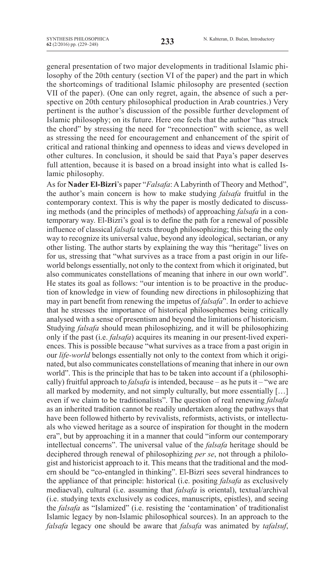general presentation of two major developments in traditional Islamic philosophy of the 20th century (section VI of the paper) and the part in which the shortcomings of traditional Islamic philosophy are presented (section VII of the paper). (One can only regret, again, the absence of such a perspective on 20th century philosophical production in Arab countries.) Very pertinent is the author's discussion of the possible further development of Islamic philosophy; on its future. Here one feels that the author "has struck the chord" by stressing the need for "reconnection" with science, as well as stressing the need for encouragement and enhancement of the spirit of critical and rational thinking and openness to ideas and views developed in other cultures. In conclusion, it should be said that Paya's paper deserves full attention, because it is based on a broad insight into what is called Islamic philosophy.

As for **Nader El-Bizri**'s paper "*Falsafa*: A Labyrinth of Theory and Method", the author's main concern is how to make studying *falsafa* fruitful in the contemporary context. This is why the paper is mostly dedicated to discussing methods (and the principles of methods) of approaching *falsafa* in a contemporary way. El-Bizri's goal is to define the path for a renewal of possible influence of classical *falsafa* texts through philosophizing; this being the only way to recognize its universal value, beyond any ideological, sectarian, or any other listing. The author starts by explaining the way this "heritage" lives on for us, stressing that "what survives as a trace from a past origin in our lifeworld belongs essentially, not only to the context from which it originated, but also communicates constellations of meaning that inhere in our own world". He states its goal as follows: "our intention is to be proactive in the production of knowledge in view of founding new directions in philosophizing that may in part benefit from renewing the impetus of *falsafa*". In order to achieve that he stresses the importance of historical philosophemes being critically analysed with a sense of presentism and beyond the limitations of historicism. Studying *falsafa* should mean philosophizing, and it will be philosophizing only if the past (i.e. *falsafa*) acquires its meaning in our present-lived experiences. This is possible because "what survives as a trace from a past origin in our *life-world* belongs essentially not only to the context from which it originated, but also communicates constellations of meaning that inhere in our own world". This is the principle that has to be taken into account if a (philosophically) fruitful approach to *falsafa* is intended, because – as he puts it – "we are all marked by modernity, and not simply culturally, but more essentially […] even if we claim to be traditionalists". The question of real renewing *falsafa* as an inherited tradition cannot be readily undertaken along the pathways that have been followed hitherto by revivalists, reformists, activists, or intellectuals who viewed heritage as a source of inspiration for thought in the modern era", but by approaching it in a manner that could "inform our contemporary intellectual concerns". The universal value of the *falsafa* heritage should be deciphered through renewal of philosophizing *per se*, not through a philologist and historicist approach to it. This means that the traditional and the modern should be "co-entangled in thinking". El-Bizri sees several hindrances to the appliance of that principle: historical (i.e. positing *falsafa* as exclusively mediaeval), cultural (i.e. assuming that *falsafa* is oriental), textual/archival (i.e. studying texts exclusively as codices, manuscripts, epistles), and seeing the *falsafa* as "Islamized" (i.e. resisting the 'contamination' of traditionalist Islamic legacy by non-Islamic philosophical sources). In an approach to the *falsafa* legacy one should be aware that *falsafa* was animated by *tafalsuf*,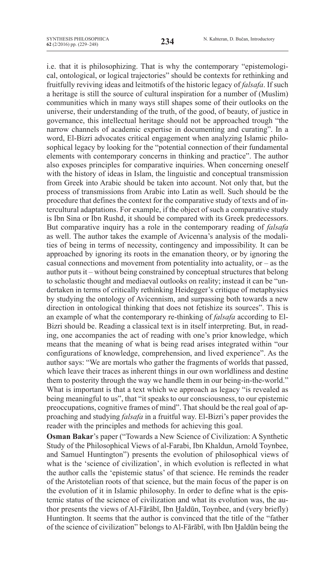i.e. that it is philosophizing. That is why the contemporary "epistemological, ontological, or logical trajectories" should be contexts for rethinking and fruitfully reviving ideas and leitmotifs of the historic legacy of *falsafa*. If such a heritage is still the source of cultural inspiration for a number of (Muslim) communities which in many ways still shapes some of their outlooks on the universe, their understanding of the truth, of the good, of beauty, of justice in governance, this intellectual heritage should not be approached trough "the narrow channels of academic expertise in documenting and curating". In a word, El-Bizri advocates critical engagement when analyzing Islamic philosophical legacy by looking for the "potential connection of their fundamental elements with contemporary concerns in thinking and practice". The author also exposes principles for comparative inquiries. When concerning oneself with the history of ideas in Islam, the linguistic and conceptual transmission from Greek into Arabic should be taken into account. Not only that, but the process of transmissions from Arabic into Latin as well. Such should be the procedure that defines the context for the comparative study of texts and of intercultural adaptations. For example, if the object of such a comparative study is Ibn Sina or Ibn Rushd, it should be compared with its Greek predecessors. But comparative inquiry has a role in the contemporary reading of *falsafa* as well. The author takes the example of Avicenna's analysis of the modalities of being in terms of necessity, contingency and impossibility. It can be approached by ignoring its roots in the emanation theory, or by ignoring the casual connections and movement from potentiality into actuality, or  $-$  as the author puts it – without being constrained by conceptual structures that belong to scholastic thought and mediaeval outlooks on reality; instead it can be "undertaken in terms of critically rethinking Heidegger's critique of metaphysics by studying the ontology of Avicennism, and surpassing both towards a new direction in ontological thinking that does not fetishize its sources". This is an example of what the contemporary re-thinking of *falsafa* according to El-Bizri should be. Reading a classical text is in itself interpreting. But, in reading, one accompanies the act of reading with one's prior knowledge, which means that the meaning of what is being read arises integrated within "our configurations of knowledge, comprehension, and lived experience". As the author says: "We are mortals who gather the fragments of worlds that passed, which leave their traces as inherent things in our own worldliness and destine them to posterity through the way we handle them in our being-in-the-world." What is important is that a text which we approach as legacy "is revealed as being meaningful to us", that "it speaks to our consciousness, to our epistemic preoccupations, cognitive frames of mind". That should be the real goal of approaching and studying *falsafa* in a fruitful way. El-Bizri's paper provides the reader with the principles and methods for achieving this goal.

**Osman Bakar**'s paper ("Towards a New Science of Civilization: A Synthetic Study of the Philosophical Views of al-Farabi, Ibn Khaldun, Arnold Toynbee, and Samuel Huntington") presents the evolution of philosophical views of what is the 'science of civilization', in which evolution is reflected in what the author calls the 'epistemic status' of that science. He reminds the reader of the Aristotelian roots of that science, but the main focus of the paper is on the evolution of it in Islamic philosophy. In order to define what is the epistemic status of the science of civilization and what its evolution was, the author presents the views of Al-Fārābī, Ibn Ḫaldūn, Toynbee, and (very briefly) Huntington. It seems that the author is convinced that the title of the "father of the science of civilization" belongs to Al-Fārābī, with Ibn Ḫaldūn being the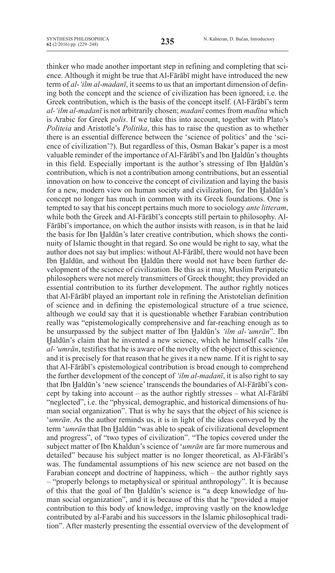thinker who made another important step in refining and completing that science. Although it might be true that Al-Fārābī might have introduced the new term of *al-'ilm al-madanī*, it seems to us that an important dimension of defining both the concept and the science of civilization has been ignored, i.e. the Greek contribution, which is the basis of the concept itself. (Al-Fārābī's term *al-'ilm al-madanī* is not arbitrarily chosen; *madanī* comes from *madīna* which is Arabic for Greek *polis*. If we take this into account, together with Plato's *Politeia* and Aristotle's *Politika*, this has to raise the question as to whether there is an essential difference between the 'science of politics' and the 'science of civilization'?). But regardless of this, Osman Bakar's paper is a most valuable reminder of the importance of Al-Fārābī's and Ibn Ḫaldūn's thoughts in this field. Especially important is the author's stressing of Ibn Haldūn's contribution, which is not a contribution among contributions, but an essential innovation on how to conceive the concept of civilization and laying the basis for a new, modern view on human society and civilization, for Ibn Haldūn's concept no longer has much in common with its Greek foundations. One is tempted to say that his concept pertains much more to sociology *ante litteram*, while both the Greek and Al-Fārābī's concepts still pertain to philosophy. Al-Fārābī's importance, on which the author insists with reason, is in that he laid the basis for Ibn Haldūn's later creative contribution, which shows the continuity of Islamic thought in that regard. So one would be right to say, what the author does not say but implies: without Al-Fārābī, there would not have been Ibn Haldūn, and without Ibn Haldūn there would not have been further development of the science of civilization. Be this as it may, Muslim peripatetic philosophers were not merely transmitters of Greek thought; they provided an essential contribution to its further development. The author rightly notices that Al-Fārābī played an important role in refining the Aristotelian definition of science and in defining the epistemological structure of a true science, although we could say that it is questionable whether Farabian contribution really was "epistemologically comprehensive and far-reaching enough as to be unsurpassed by the subject matter of Ibn Ḫaldūn's *'ilm al-'umrān*". Ibn Ḫaldūn's claim that he invented a new science, which he himself calls '*ilm al-'umrān*, testifies that he is aware of the novelty of the object of this science, and it is precisely for that reason that he gives it a new name. If it is right to say that Al-Fārābī's epistemological contribution is broad enough to comprehend the further development of the concept of *'ilm al-madanī*, it is also right to say that Ibn Ḫaldūn's 'new science'transcends the boundaries of Al-Fārābī's concept by taking into account – as the author rightly stresses – what Al-Fārābī "neglected", i.e. the "physical, demographic, and historical dimensions of human social organization". That is why he says that the object of his science is '*umrān*. As the author reminds us, it is in light of the ideas conveyed by the term '*umrān* that Ibn Ḫaldūn "was able to speak of civilizational development and progress", of "two types of civilization". "The topics covered under the subject matter of Ibn Khaldun's science of '*umrān* are far more numerous and detailed" because his subject matter is no longer theoretical, as Al-Fārābī's was. The fundamental assumptions of his new science are not based on the Farabian concept and doctrine of happiness, which – the author rightly says – "properly belongs to metaphysical or spiritual anthropology". It is because of this that the goal of Ibn Ḫaldūn's science is "a deep knowledge of human social organization", and it is because of this that he "provided a major contribution to this body of knowledge, improving vastly on the knowledge contributed by al-Farabi and his successors in the Islamic philosophical tradition". After masterly presenting the essential overview of the development of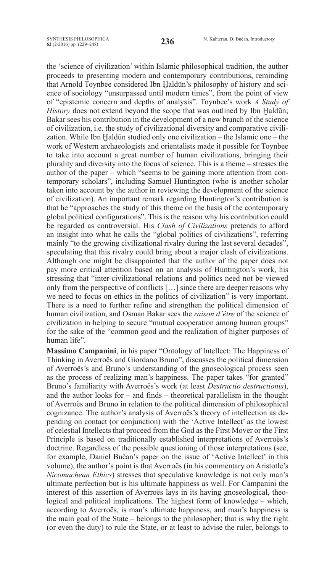the 'science of civilization' within Islamic philosophical tradition, the author proceeds to presenting modern and contemporary contributions, reminding that Arnold Toynbee considered Ibn Ḫaldūn's philosophy of history and science of sociology "unsurpassed until modern times", from the point of view of "epistemic concern and depths of analysis". Toynbee's work *A Study of History* does not extend beyond the scope that was outlined by Ibn Ḫaldūn; Bakar sees his contribution in the development of a new branch of the science of civilization, i.e. the study of civilizational diversity and comparative civilization. While Ibn Haldūn studied only one civilization – the Islamic one – the work of western archaeologists and orientalists made it possible for Toynbee to take into account a great number of human civilizations, bringing their plurality and diversity into the focus of science. This is a theme – stresses the author of the paper – which "seems to be gaining more attention from contemporary scholars", including Samuel Huntington (who is another scholar taken into account by the author in reviewing the development of the science of civilization). An important remark regarding Huntington's contribution is that he "approaches the study of this theme on the basis of the contemporary global political configurations". This is the reason why his contribution could be regarded as controversial. His *Clash of Civilizations* pretends to afford an insight into what he calls the "global politics of civilizations", referring mainly "to the growing civilizational rivalry during the last several decades", speculating that this rivalry could bring about a major clash of civilizations. Although one might be disappointed that the author of the paper does not pay more critical attention based on an analysis of Huntington's work, his stressing that "inter-civilizational relations and politics need not be viewed only from the perspective of conflicts […] since there are deeper reasons why we need to focus on ethics in the politics of civilization" is very important. There is a need to further refine and strengthen the political dimension of human civilization, and Osman Bakar sees the *raison d'être* of the science of civilization in helping to secure "mutual cooperation among human groups" for the sake of the "common good and the realization of higher purposes of human life".

**Massimo Campanini**, in his paper "Ontology of Intellect: The Happiness of Thinking in Averroës and Giordano Bruno", discusses the political dimension of Averroës's and Bruno's understanding of the gnoseological process seen as the process of realizing man's happiness. The paper takes "for granted" Bruno's familiarity with Averroës's work (at least *Destructio destructionis*), and the author looks for – and finds – theoretical parallelism in the thought of Averroës and Bruno in relation to the political dimension of philosophical cognizance. The author's analysis of Averroës's theory of intellection as depending on contact (or conjunction) with the 'Active Intellect' as the lowest of celestial Intellects that proceed from the God as the First Mover or the First Principle is based on traditionally established interpretations of Averroës's doctrine. Regardless of the possible questioning of those interpretations (see, for example, Daniel Bučan's paper on the issue of 'Active Intellect' in this volume), the author's point is that Averroës (in his commentary on Aristotle's *Nicomachean Ethics*) stresses that speculative knowledge is not only man's ultimate perfection but is his ultimate happiness as well. For Campanini the interest of this assertion of Averroës lays in its having gnoseological, theological and political implications. The highest form of knowledge – which, according to Averroës, is man's ultimate happiness, and man's happiness is the main goal of the State – belongs to the philosopher; that is why the right (or even the duty) to rule the State, or at least to advise the ruler, belongs to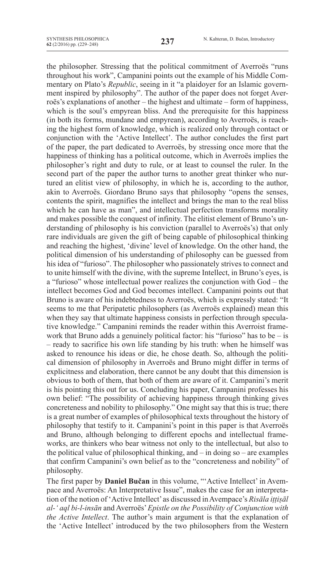the philosopher. Stressing that the political commitment of Averroës "runs throughout his work", Campanini points out the example of his Middle Commentary on Plato's *Republic*, seeing in it "a plaidoyer for an Islamic government inspired by philosophy". The author of the paper does not forget Averroës's explanations of another – the highest and ultimate – form of happiness, which is the soul's empyrean bliss. And the prerequisite for this happiness (in both its forms, mundane and empyrean), according to Averroës, is reaching the highest form of knowledge, which is realized only through contact or conjunction with the 'Active Intellect'. The author concludes the first part of the paper, the part dedicated to Averroës, by stressing once more that the happiness of thinking has a political outcome, which in Averroës implies the philosopher's right and duty to rule, or at least to counsel the ruler. In the second part of the paper the author turns to another great thinker who nurtured an elitist view of philosophy, in which he is, according to the author, akin to Averroës. Giordano Bruno says that philosophy "opens the senses, contents the spirit, magnifies the intellect and brings the man to the real bliss which he can have as man", and intellectual perfection transforms morality and makes possible the conquest of infinity. The elitist element of Bruno's understanding of philosophy is his conviction (parallel to Averroës's) that only rare individuals are given the gift of being capable of philosophical thinking and reaching the highest, 'divine' level of knowledge. On the other hand, the political dimension of his understanding of philosophy can be guessed from his idea of "furioso". The philosopher who passionately strives to connect and to unite himself with the divine, with the supreme Intellect, in Bruno's eyes, is a "furioso" whose intellectual power realizes the conjunction with God – the intellect becomes God and God becomes intellect. Campanini points out that Bruno is aware of his indebtedness to Averroës, which is expressly stated: "It seems to me that Peripatetic philosophers (as Averroës explained) mean this when they say that ultimate happiness consists in perfection through speculative knowledge." Campanini reminds the reader within this Averroist framework that Bruno adds a genuinely political factor: his "furioso" has to be  $-$  is – ready to sacrifice his own life standing by his truth: when he himself was asked to renounce his ideas or die, he chose death. So, although the political dimension of philosophy in Averroës and Bruno might differ in terms of explicitness and elaboration, there cannot be any doubt that this dimension is obvious to both of them, that both of them are aware of it. Campanini's merit is his pointing this out for us. Concluding his paper, Campanini professes his own belief: "The possibility of achieving happiness through thinking gives concreteness and nobility to philosophy." One might say that this is true; there is a great number of examples of philosophical texts throughout the history of philosophy that testify to it. Campanini's point in this paper is that Averroës and Bruno, although belonging to different epochs and intellectual frameworks, are thinkers who bear witness not only to the intellectual, but also to the political value of philosophical thinking, and  $-$  in doing so  $-$  are examples that confirm Campanini's own belief as to the "concreteness and nobility" of philosophy.

The first paper by **Daniel Bučan** in this volume, "'Active Intellect' in Avempace and Averroës: An Interpretative Issue", makes the case for an interpretation of the notion of 'Active Intellect'as discussed inAvempace's *Risāla iṭṭiṣāl al-' aql bi-l-insān* and Averroës'*Epistle on the Possibility of Conjunction with the Active Intellect*. The author's main argument is that the explanation of the 'Active Intellect' introduced by the two philosophers from the Western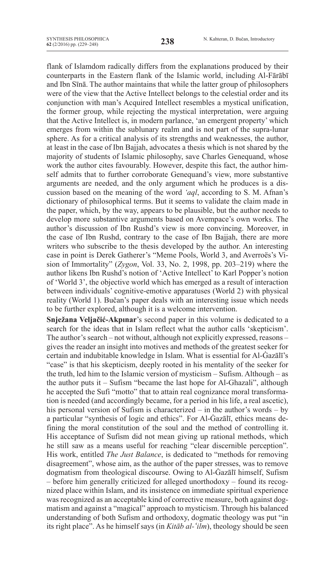flank of Islamdom radically differs from the explanations produced by their counterparts in the Eastern flank of the Islamic world, including al-Fārābī and Ibn Sīnā. The author maintains that while the latter group of philosophers were of the view that the Active Intellect belongs to the celestial order and its conjunction with man's Acquired Intellect resembles a mystical unification, the former group, while rejecting the mystical interpretation, were arguing that the Active Intellect is, in modern parlance, 'an emergent property' which emerges from within the sublunary realm and is not part of the supra-lunar sphere. As for a critical analysis of its strengths and weaknesses, the author, at least in the case of Ibn Bajjah, advocates a thesis which is not shared by the majority of students of Islamic philosophy, save Charles Genequand, whose work the author cites favourably. However, despite this fact, the author himself admits that to further corroborate Genequand's view, more substantive arguments are needed, and the only argument which he produces is a discussion based on the meaning of the word *'aql*, according to S. M. Afnan's dictionary of philosophical terms. But it seems to validate the claim made in the paper, which, by the way, appears to be plausible, but the author needs to develop more substantive arguments based on Avempace's own works. The author's discussion of Ibn Rushd's view is more convincing. Moreover, in the case of Ibn Rushd, contrary to the case of Ibn Bajjah, there are more writers who subscribe to the thesis developed by the author. An interesting case in point is Derek Gatherer's "Meme Pools, World 3, and Averroës's Vision of Immortality" (*Zygon*, Vol. 33, no. 2, 1998, pp. 203–219) where the author likens Ibn Rushd's notion of 'Active Intellect' to Karl Popper's notion of 'World 3', the objective world which has emerged as a result of interaction between individuals' cognitive-emotive apparatuses (World 2) with physical reality (World 1). Bučan's paper deals with an interesting issue which needs to be further explored, although it is a welcome intervention.

**Snježana Veljačić-Akpınar**'s second paper in this volume is dedicated to a search for the ideas that in Islam reflect what the author calls 'skepticism'. The author's search – not without, although not explicitly expressed, reasons – gives the reader an insight into motives and methods of the greatest seeker for certain and indubitable knowledge in Islam. What is essential for Al-Ġazālī's "case" is that his skepticism, deeply rooted in his mentality of the seeker for the truth, led him to the Islamic version of mysticism – Sufism. Although – as the author puts it – Sufism "became the last hope for Al-Ghazali", although he accepted the Sufi "motto" that to attain real cognizance moral transformation is needed (and accordingly became, for a period in his life, a real ascetic), his personal version of Sufism is characterized – in the author's words – by a particular "synthesis of logic and ethics". For Al-Ġazālī, ethics means defining the moral constitution of the soul and the method of controlling it. His acceptance of Sufism did not mean giving up rational methods, which he still saw as a means useful for reaching "clear discernible perception". His work, entitled *The Just Balance*, is dedicated to "methods for removing disagreement", whose aim, as the author of the paper stresses, was to remove dogmatism from theological discourse. Owing to Al-Ġazālī himself, Sufism – before him generally criticized for alleged unorthodoxy – found its recognized place within Islam, and its insistence on immediate spiritual experience was recognized as an acceptable kind of corrective measure, both against dogmatism and against a "magical" approach to mysticism. Through his balanced understanding of both Sufism and orthodoxy, dogmatic theology was put "in its right place". As he himself says (in *Kitāb al-ʻ ilm*), theology should be seen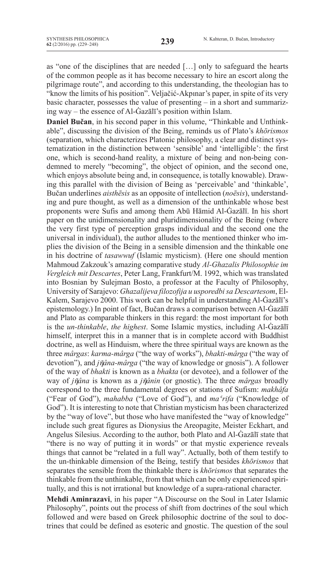as "one of the disciplines that are needed […] only to safeguard the hearts of the common people as it has become necessary to hire an escort along the pilgrimage route", and according to this understanding, the theologian has to "know the limits of his position". Veljačić-Akpınar's paper, in spite of its very basic character, possesses the value of presenting – in a short and summarizing way – the essence of Al-Ġazālī's position within Islam.

**Daniel Bučan**, in his second paper in this volume, "Thinkable and Unthinkable", discussing the division of the Being, reminds us of Plato's *khōrismos* (separation, which characterizes Platonic philosophy, a clear and distinct systematization in the distinction between 'sensible' and 'intelligible': the first one, which is second-hand reality, a mixture of being and non-being condemned to merely "becoming", the object of opinion, and the second one, which enjoys absolute being and, in consequence, is totally knowable). Drawing this parallel with the division of Being as 'perceivable' and 'thinkable', Bučan underlines *aisthēsis* as an opposite of intellection (*noēsis*), understanding and pure thought, as well as a dimension of the unthinkable whose best proponents were Sufis and among them Abū Hāmid Al-Ġazālī. In his short paper on the unidimensionality and pluridimensionality of the Being (where the very first type of perception grasps individual and the second one the universal in individual), the author alludes to the mentioned thinker who implies the division of the Being in a sensible dimension and the thinkable one in his doctrine of *tasawwuf* (Islamic mysticism). (Here one should mention Mahmoud Zakzouk's amazing comparative study *Al-Ghazalis Philosophie im Vergleich mit Descartes*, Peter Lang, Frankfurt/M. 1992, which was translated into Bosnian by Sulejman Bosto, a professor at the Faculty of Philosophy, University of Sarajevo: *Ghazalijeva filozofija u usporedbi sa Descartesom*, El-Kalem, Sarajevo 2000. This work can be helpful in understanding Al-Ġazālī's epistemology.) In point of fact, Bučan draws a comparison between Al-Ġazālī and Plato as comparable thinkers in this regard: the most important for both is the *un-thinkable*, *the highest*. Some Islamic mystics, including Al-Ġazālī himself, interpret this in a manner that is in complete accord with Buddhist doctrine, as well as Hinduism, where the three spiritual ways are known as the three *mârgas*: *karma-mârga* ("the way of works"), *bhakti-mârga* ("the way of devotion"), and *jῆâna-mârga* ("the way of knowledge or gnosis"). A follower of the way of *bhakti* is known as a *bhakta* (or devotee), and a follower of the way of *jῆâna* is known as a *jῆânin* (or gnostic). The three *mârgas* broadly correspond to the three fundamental degrees or stations of Sufism: *makhâfa* ("Fear of God"), *mahabba* ("Love of God"), and *maʿ rifa* ("Knowledge of God"). It is interesting to note that Christian mysticism has been characterized by the "way of love", but those who have manifested the "way of knowledge" include such great figures as Dionysius the Areopagite, Meister Eckhart, and Angelus Silesius. According to the author, both Plato and Al-Ġazālī state that "there is no way of putting it in words" or that mystic experience reveals things that cannot be "related in a full way". Actually, both of them testify to the un-thinkable dimension of the Being, testify that besides *khōrismos* that separates the sensible from the thinkable there is *khōrismos* that separates the thinkable from the unthinkable, from that which can be only experienced spiritually, and this is not irrational but knowledge of a supra-rational character.

**Mehdi Aminrazavi**, in his paper "A Discourse on the Soul in Later Islamic Philosophy", points out the process of shift from doctrines of the soul which followed and were based on Greek philosophic doctrine of the soul to doctrines that could be defined as esoteric and gnostic. The question of the soul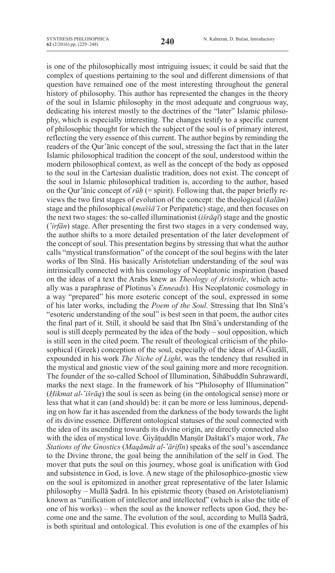is one of the philosophically most intriguing issues; it could be said that the complex of questions pertaining to the soul and different dimensions of that question have remained one of the most interesting throughout the general history of philosophy. This author has represented the changes in the theory of the soul in Islamic philosophy in the most adequate and congruous way, dedicating his interest mostly to the doctrines of the "later" Islamic philosophy, which is especially interesting. The changes testify to a specific current of philosophic thought for which the subject of the soul is of primary interest, reflecting the very essence of this current. The author begins by reminding the readers of the Qur'ānic concept of the soul, stressing the fact that in the later Islamic philosophical tradition the concept of the soul, understood within the modern philosophical context, as well as the concept of the body as opposed to the soul in the Cartesian dualistic tradition, does not exist. The concept of the soul in Islamic philosophical tradition is, according to the author, based on the Qur'ānic concept of *rūḥ* (= spirit). Following that, the paper briefly reviews the two first stages of evolution of the concept: the theological (*kalām*) stage and the philosophical (*maššā'ī* or peripatetic) stage, and then focuses on the next two stages: the so-called illuminationist (*išrāqī*) stage and the gnostic (*ʻ irfān*) stage. After presenting the first two stages in a very condensed way, the author shifts to a more detailed presentation of the later development of the concept of soul. This presentation begins by stressing that what the author calls "mystical transformation" of the concept of the soul begins with the later works of Ibn Sīnā. His basically Aristotelian understanding of the soul was intrinsically connected with his cosmology of Neoplatonic inspiration (based on the ideas of a text the Arabs knew as *Theology of Aristotle*, which actually was a paraphrase of Plotinus's *Enneads*). His Neoplatonic cosmology in a way "prepared" his more esoteric concept of the soul, expressed in some of his later works, including the *Poem of the Soul*. Stressing that Ibn Sīnā's "esoteric understanding of the soul" is best seen in that poem, the author cites the final part of it. Still, it should be said that Ibn Sīnā's understanding of the soul is still deeply permeated by the idea of the body – soul opposition, which is still seen in the cited poem. The result of theological criticism of the philosophical (Greek) conception of the soul, especially of the ideas of Al-Ġazālī, expounded in his work *The Niche of Light*, was the tendency that resulted in the mystical and gnostic view of the soul gaining more and more recognition. The founder of the so-called School of Illumination, Šihābuddīn Suhrawardī, marks the next stage. In the framework of his "Philosophy of Illumination" (*Ḥikmat al-ʻ išrāq*) the soul is seen as being (in the ontological sense) more or less that what it can (and should) be: it can be more or less luminous, depending on how far it has ascended from the darkness of the body towards the light of its divine essence. Different ontological statuses of the soul connected with the idea of its ascending towards its divine origin, are directly connected also with the idea of mystical love. Ġiyāṯuddīn Manṣūr Daštakī's major work, *The Stations of the Gnostics* (*Maqāmāt al-ʻ ārifīn*) speaks of the soul's ascendance to the Divine throne, the goal being the annihilation of the self in God. The mover that puts the soul on this journey, whose goal is unification with God and subsistence in God, is love. A new stage of the philosophico-gnostic view on the soul is epitomized in another great representative of the later Islamic philosophy – Mullā Ṣadrā. In his epistemic theory (based on Aristotelianism) known as "unification of intellector and intellected" (which is also the title of one of his works) – when the soul as the knower reflects upon God, they become one and the same. The evolution of the soul, according to Mullā Ṣadrā, is both spiritual and ontological. This evolution is one of the examples of his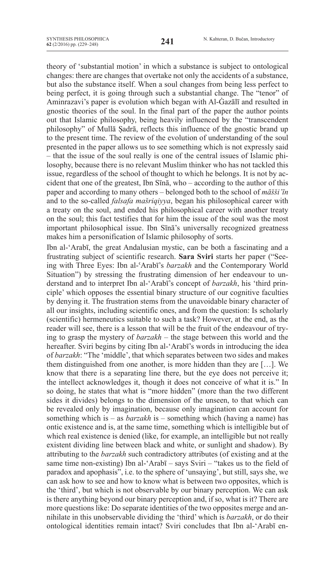theory of 'substantial motion' in which a substance is subject to ontological changes: there are changes that overtake not only the accidents of a substance, but also the substance itself. When a soul changes from being less perfect to being perfect, it is going through such a substantial change. The "tenor" of Aminrazavi's paper is evolution which began with Al-Ġazālī and resulted in gnostic theories of the soul. In the final part of the paper the author points out that Islamic philosophy, being heavily influenced by the "transcendent philosophy" of Mullā Ṣadrā, reflects this influence of the gnostic brand up to the present time. The review of the evolution of understanding of the soul presented in the paper allows us to see something which is not expressly said – that the issue of the soul really is one of the central issues of Islamic philosophy, because there is no relevant Muslim thinker who has not tackled this issue, regardless of the school of thought to which he belongs. It is not by accident that one of the greatest, Ibn Sīnā, who – according to the author of this paper and according to many others – belonged both to the school of *māšši'īn* and to the so-called *falsafa mašriqiyya*, began his philosophical career with a treaty on the soul, and ended his philosophical career with another treaty on the soul; this fact testifies that for him the issue of the soul was the most important philosophical issue. Ibn Sīnā's universally recognized greatness makes him a personification of Islamic philosophy of sorts.

Ibn al-'Arabī, the great Andalusian mystic, can be both a fascinating and a frustrating subject of scientific research. **Sara Sviri** starts her paper ("Seeing with Three Eyes: Ibn al-ʿArabī's *barzakh* and the Contemporary World Situation") by stressing the frustrating dimension of her endeavour to understand and to interpret Ibn al-'Arabī's concept of *barzakh*, his 'third principle' which opposes the essential binary structure of our cognitive faculties by denying it. The frustration stems from the unavoidable binary character of all our insights, including scientific ones, and from the question: Is scholarly (scientific) hermeneutics suitable to such a task? However, at the end, as the reader will see, there is a lesson that will be the fruit of the endeavour of trying to grasp the mystery of *barzakh* – the stage between this world and the hereafter. Sviri begins by citing Ibn al-'Arabī's words in introducing the idea of *barzakh*: "The 'middle', that which separates between two sides and makes them distinguished from one another, is more hidden than they are […]. We know that there is a separating line there, but the eye does not perceive it; the intellect acknowledges it, though it does not conceive of what it is." In so doing, he states that what is "more hidden" (more than the two different sides it divides) belongs to the dimension of the unseen, to that which can be revealed only by imagination, because only imagination can account for something which is – as *barzakh* is – something which (having a name) has ontic existence and is, at the same time, something which is intelligible but of which real existence is denied (like, for example, an intelligible but not really existent dividing line between black and white, or sunlight and shadow). By attributing to the *barzakh* such contradictory attributes (of existing and at the same time non-existing) Ibn al-'Arabī – says Sviri – "takes us to the field of paradox and apophasis", i.e. to the sphere of 'unsaying', but still, says she, we can ask how to see and how to know what is between two opposites, which is the 'third', but which is not observable by our binary perception. We can ask is there anything beyond our binary perception and, if so, what is it? There are more questions like: Do separate identities of the two opposites merge and annihilate in this unobservable dividing the 'third' which is *barzakh*, or do their ontological identities remain intact? Sviri concludes that Ibn al-'Arabī en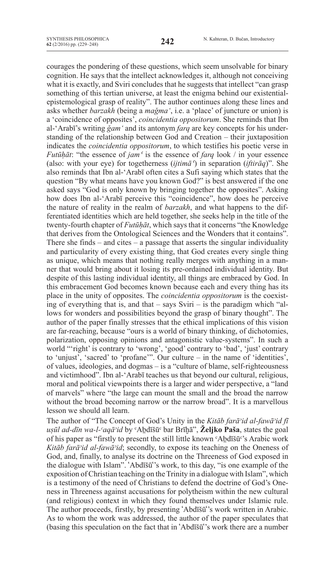courages the pondering of these questions, which seem unsolvable for binary cognition. He says that the intellect acknowledges it, although not conceiving what it is exactly, and Sviri concludes that he suggests that intellect "can grasp something of this tertian universe, at least the enigma behind our existentialepistemological grasp of reality". The author continues along these lines and asks whether *barzakh* (being a *maǧma'*, i.e. a 'place' of juncture or union) is a 'coincidence of opposites', *coincidentia oppositorum*. She reminds that Ibn al-'Arabī's writing *ǧam'* and its antonym *farq* are key concepts for his understanding of the relationship between God and Creation – their juxtaposition indicates the *coincidentia oppositorum*, to which testifies his poetic verse in *Futūḥāt*: "the essence of *jamʿ*  is the essence of *farq* look / in your essence (also: with your eye) for togetherness (*ijtimāʿ*) in separation (*iftirāq*)". She also reminds that Ibn al-'Arabī often cites a Sufi saying which states that the question "By what means have you known God?" is best answered if the one asked says "God is only known by bringing together the opposites". Asking how does Ibn al-'Arabī perceive this "coincidence", how does he perceive the nature of reality in the realm of *barzakh*, and what happens to the differentiated identities which are held together, she seeks help in the title of the twenty-fourth chapter of *Futūḥāt*, which says that it concerns "the Knowledge that derives from the Ontological Sciences and the Wonders that it contains". There she finds – and cites – a passage that asserts the singular individuality and particularity of every existing thing, that God creates every single thing as unique, which means that nothing really merges with anything in a manner that would bring about it losing its pre-ordained individual identity. But despite of this lasting individual identity, all things are embraced by God. In this embracement God becomes known because each and every thing has its place in the unity of opposites. The *coincidentia oppositorum* is the coexisting of everything that is, and that – says Sviri – is the paradigm which "allows for wonders and possibilities beyond the grasp of binary thought". The author of the paper finally stresses that the ethical implications of this vision are far-reaching, because "ours is a world of binary thinking, of dichotomies, polarization, opposing opinions and antagonistic value-systems". In such a world "'right' is contrary to 'wrong', 'good' contrary to 'bad', 'just' contrary to 'unjust', 'sacred' to 'profane'". Our culture – in the name of 'identities', of values, ideologies, and dogmas – is a "culture of blame, self-righteousness and victimhood". Ibn al-'Arabī teaches us that beyond our cultural, religious, moral and political viewpoints there is a larger and wider perspective, a "land of marvels" where "the large can mount the small and the broad the narrow without the broad becoming narrow or the narrow broad". It is a marvellous lesson we should all learn.

The author of "The Concept of God's Unity in the *Kitāb farāᵓid al-fawāᵓid fī uṣūl ad-dīn wa-l-ᶜaqāᵓid* by ᶜAḇdīšūᶜ bar Brīḫā", **Željko Paša**, states the goal of his paper as "firstly to present the still little known ᶜAḇdīšūᶜ's Arabic work *Kitāb farā*<sup>*'id al-fawā*<sup>*'id*</sup>; secondly, to expose its teaching on the Oneness of</sup> God, and, finally, to analyse its doctrine on the Threeness of God exposed in the dialogue with Islam". ʻAbdīšūʻ's work, to this day, "is one example of the exposition of Christian teaching on the Trinity in a dialogue with Islam", which is a testimony of the need of Christians to defend the doctrine of God's Oneness in Threeness against accusations for polytheism within the new cultural (and religious) context in which they found themselves under Islamic rule. The author proceeds, firstly, by presenting ʻAbdīšūʻ's work written in Arabic. As to whom the work was addressed, the author of the paper speculates that (basing this speculation on the fact that in ʻAbdīšūʻ's work there are a number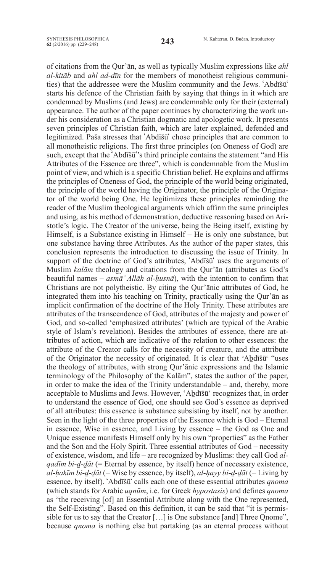of citations from the Qur'ān, as well as typically Muslim expressions like *ahl al-kitāb* and *ahl ad-dīn* for the members of monotheist religious communities) that the addressee were the Muslim community and the Jews. ʻAbdīšūʻ starts his defence of the Christian faith by saying that things in it which are condemned by Muslims (and Jews) are condemnable only for their (external) appearance. The author of the paper continues by characterizing the work under his consideration as a Christian dogmatic and apologetic work. It presents seven principles of Christian faith, which are later explained, defended and legitimized. Paša stresses that ʻAbdīšūʻ chose principles that are common to all monotheistic religions. The first three principles (on Oneness of God) are such, except that the ʻAbdīšūʻ's third principle contains the statement "and His Attributes of the Essence are three", which is condemnable from the Muslim point of view, and which is a specific Christian belief. He explains and affirms the principles of Oneness of God, the principle of the world being originated, the principle of the world having the Originator, the principle of the Originator of the world being One. He legitimizes these principles reminding the reader of the Muslim theological arguments which affirm the same principles and using, as his method of demonstration, deductive reasoning based on Aristotle's logic. The Creator of the universe, being the Being itself, existing by Himself, is a Substance existing in Himself – He is only one substance, but one substance having three Attributes. As the author of the paper states, this conclusion represents the introduction to discussing the issue of Trinity. In support of the doctrine of God's attributes, ʻAbdīšūʻ uses the arguments of Muslim *kalām* theology and citations from the Qur'ān (attributes as God's beautiful names – *asmā' Allāh al-ḥusnā*), with the intention to confirm that Christians are not polytheistic. By citing the Qur'ānic attributes of God, he integrated them into his teaching on Trinity, practically using the Qur'ān as implicit confirmation of the doctrine of the Holy Trinity. These attributes are attributes of the transcendence of God, attributes of the majesty and power of God, and so-called 'emphasized attributes' (which are typical of the Arabic style of Islam's revelation). Besides the attributes of essence, there are attributes of action, which are indicative of the relation to other essences: the attribute of the Creator calls for the necessity of creature, and the attribute of the Originator the necessity of originated. It is clear that  ${}^{\circ}$ Abdīšū ${}^{\circ}$  "uses the theology of attributes, with strong Qur'ānic expressions and the Islamic terminology of the Philosophy of the Kalām", states the author of the paper, in order to make the idea of the Trinity understandable – and, thereby, more acceptable to Muslims and Jews. However, 'Aḇdīšū' recognizes that, in order to understand the essence of God, one should see God's essence as deprived of all attributes: this essence is substance subsisting by itself, not by another. Seen in the light of the three properties of the Essence which is God – Eternal in essence, Wise in essence, and Living by essence – the God as One and Unique essence manifests Himself only by his own "properties" as the Father and the Son and the Holy Spirit. Three essential attributes of God – necessity of existence, wisdom, and life – are recognized by Muslims: they call God *alqadīm bi-ḏ-ḏāt* (= Eternal by essence, by itself) hence of necessary existence, *al-ḥakīm bi-ḏ-ḏāt* (= Wise by essence, by itself), *al-ḥayy bi-ḏ-ḏāt* (= Living by essence, by itself). ʻAbdīšūʻ calls each one of these essential attributes *qnoma* (which stands for Arabic *uqnūm*, i.e. for Greek *hypostasis*) and defines *qnoma* as "the receiving [of] an Essential Attribute along with the One represented, the Self-Existing". Based on this definition, it can be said that "it is permissible for us to say that the Creator […] is One substance [and] Three Qnome", because *qnoma* is nothing else but partaking (as an eternal process without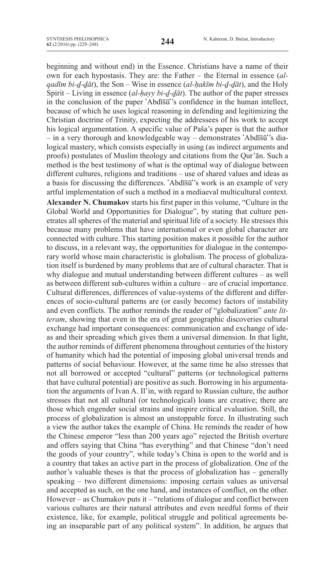beginning and without end) in the Essence. Christians have a name of their own for each hypostasis. They are: the Father – the Eternal in essence (*alqadīm bi-ḏ-ḏāt*), the Son – Wise in essence (*al-ḥakīm bi-ḏ-ḏāt*), and the Holy Spirit – Living in essence (*al-ḥayy bi-ḏ-ḏāt*). The author of the paper stresses in the conclusion of the paper ʻAbdīšūʻ's confidence in the human intellect, because of which he uses logical reasoning in defending and legitimizing the Christian doctrine of Trinity, expecting the addressees of his work to accept his logical argumentation. A specific value of Paša's paper is that the author – in a very thorough and knowledgeable way – demonstrates ʻAbdīšūʻ's dialogical mastery, which consists especially in using (as indirect arguments and proofs) postulates of Muslim theology and citations from the Qur'ān. Such a method is the best testimony of what is the optimal way of dialogue between different cultures, religions and traditions – use of shared values and ideas as a basis for discussing the differences. ʻAbdīšūʻ's work is an example of very artful implementation of such a method in a mediaeval multicultural context.

**Alexander N. Chumakov** starts his first paper in this volume, "Culture in the Global World and Opportunities for Dialogue", by stating that culture penetrates all spheres of the material and spiritual life of a society. He stresses this because many problems that have international or even global character are connected with culture. This starting position makes it possible for the author to discuss, in a relevant way, the opportunities for dialogue in the contemporary world whose main characteristic is globalism. The process of globalization itself is burdened by many problems that are of cultural character. That is why dialogue and mutual understanding between different cultures – as well as between different sub-cultures within a culture – are of crucial importance. Cultural differences, differences of value-systems of the different and differences of socio-cultural patterns are (or easily become) factors of instability and even conflicts. The author reminds the reader of "globalization" *ante litteram*, showing that even in the era of great geographic discoveries cultural exchange had important consequences: communication and exchange of ideas and their spreading which gives them a universal dimension. In that light, the author reminds of different phenomena throughout centuries of the history of humanity which had the potential of imposing global universal trends and patterns of social behaviour. However, at the same time he also stresses that not all borrowed or accepted "cultural" patterns (or technological patterns that have cultural potential) are positive as such. Borrowing in his argumentation the arguments of Ivan A. Il'in, with regard to Russian culture, the author stresses that not all cultural (or technological) loans are creative; there are those which engender social strains and inspire critical evaluation. Still, the process of globalization is almost an unstoppable force. In illustrating such a view the author takes the example of China. He reminds the reader of how the Chinese emperor "less than 200 years ago" rejected the British overture and offers saying that China "has everything" and that Chinese "don't need the goods of your country", while today's China is open to the world and is a country that takes an active part in the process of globalization. One of the author's valuable theses is that the process of globalization has – generally speaking – two different dimensions: imposing certain values as universal and accepted as such, on the one hand, and instances of conflict, on the other. However – as Chumakov puts it – "relations of dialogue and conflict between various cultures are their natural attributes and even needful forms of their existence, like, for example, political struggle and political agreements being an inseparable part of any political system". In addition, he argues that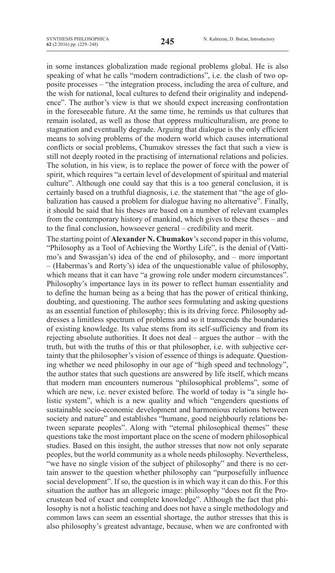in some instances globalization made regional problems global. He is also speaking of what he calls "modern contradictions", i.e. the clash of two opposite processes – "the integration process, including the area of culture, and the wish for national, local cultures to defend their originality and independence". The author's view is that we should expect increasing confrontation in the foreseeable future. At the same time, he reminds us that cultures that remain isolated, as well as those that oppress multiculturalism, are prone to stagnation and eventually degrade. Arguing that dialogue is the only efficient means to solving problems of the modern world which causes international conflicts or social problems, Chumakov stresses the fact that such a view is still not deeply rooted in the practising of international relations and policies. The solution, in his view, is to replace the power of force with the power of spirit, which requires "a certain level of development of spiritual and material culture". Although one could say that this is a too general conclusion, it is certainly based on a truthful diagnosis, i.e. the statement that "the age of globalization has caused a problem for dialogue having no alternative". Finally, it should be said that his theses are based on a number of relevant examples from the contemporary history of mankind, which gives to these theses – and to the final conclusion, howsoever general – credibility and merit.

The starting point of **Alexander N. Chumakov**'s second paper in this volume, "Philosophy as a Tool of Achieving the Worthy Life", is the denial of (Vattimo's and Swassjan's) idea of the end of philosophy, and – more important – (Habermas's and Rorty's) idea of the unquestionable value of philosophy, which means that it can have "a growing role under modern circumstances". Philosophy's importance lays in its power to reflect human essentiality and to define the human being as a being that has the power of critical thinking, doubting, and questioning. The author sees formulating and asking questions as an essential function of philosophy; this is its driving force. Philosophy addresses a limitless spectrum of problems and so it transcends the boundaries of existing knowledge. Its value stems from its self-sufficiency and from its rejecting absolute authorities. It does not deal – argues the author – with the truth, but with the truths of this or that philosopher, i.e. with subjective certainty that the philosopher's vision of essence of things is adequate. Questioning whether we need philosophy in our age of "high speed and technology", the author states that such questions are answered by life itself, which means that modern man encounters numerous "philosophical problems", some of which are new, i.e. never existed before. The world of today is "a single holistic system", which is a new quality and which "engenders questions of sustainable socio-economic development and harmonious relations between society and nature" and establishes "humane, good neighbourly relations between separate peoples". Along with "eternal philosophical themes" these questions take the most important place on the scene of modern philosophical studies. Based on this insight, the author stresses that now not only separate peoples, but the world community as a whole needs philosophy. Nevertheless, "we have no single vision of the subject of philosophy" and there is no certain answer to the question whether philosophy can "purposefully influence social development". If so, the question is in which way it can do this. For this situation the author has an allegoric image: philosophy "does not fit the Procrustean bed of exact and complete knowledge". Although the fact that philosophy is not a holistic teaching and does not have a single methodology and common laws can seem an essential shortage, the author stresses that this is also philosophy's greatest advantage, because, when we are confronted with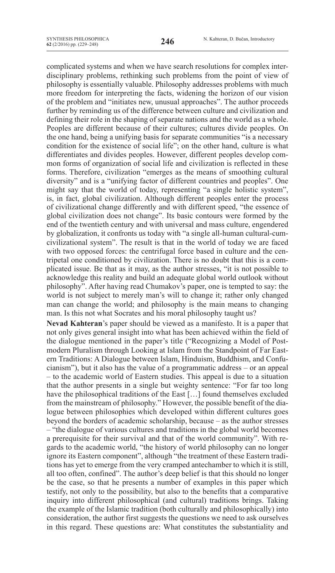complicated systems and when we have search resolutions for complex interdisciplinary problems, rethinking such problems from the point of view of philosophy is essentially valuable. Philosophy addresses problems with much more freedom for interpreting the facts, widening the horizon of our vision of the problem and "initiates new, unusual approaches". The author proceeds further by reminding us of the difference between culture and civilization and defining their role in the shaping of separate nations and the world as a whole. Peoples are different because of their cultures; cultures divide peoples. On the one hand, being a unifying basis for separate communities "is a necessary condition for the existence of social life"; on the other hand, culture is what differentiates and divides peoples. However, different peoples develop common forms of organization of social life and civilization is reflected in these forms. Therefore, civilization "emerges as the means of smoothing cultural diversity" and is a "unifying factor of different countries and peoples". One might say that the world of today, representing "a single holistic system", is, in fact, global civilization. Although different peoples enter the process of civilizational change differently and with different speed, "the essence of global civilization does not change". Its basic contours were formed by the end of the twentieth century and with universal and mass culture, engendered by globalization, it confronts us today with "a single all-human cultural-cumcivilizational system". The result is that in the world of today we are faced with two opposed forces: the centrifugal force based in culture and the centripetal one conditioned by civilization. There is no doubt that this is a complicated issue. Be that as it may, as the author stresses, "it is not possible to acknowledge this reality and build an adequate global world outlook without philosophy". After having read Chumakov's paper, one is tempted to say: the world is not subject to merely man's will to change it; rather only changed man can change the world; and philosophy is the main means to changing man. Is this not what Socrates and his moral philosophy taught us?

**Nevad Kahteran**'s paper should be viewed as a manifesto. It is a paper that not only gives general insight into what has been achieved within the field of the dialogue mentioned in the paper's title ("Recognizing a Model of Postmodern Pluralism through Looking at Islam from the Standpoint of Far Eastern Traditions: A Dialogue between Islam, Hinduism, Buddhism, and Confucianism"), but it also has the value of a programmatic address – or an appeal – to the academic world of Eastern studies. This appeal is due to a situation that the author presents in a single but weighty sentence: "For far too long have the philosophical traditions of the East [...] found themselves excluded from the mainstream of philosophy." However, the possible benefit of the dialogue between philosophies which developed within different cultures goes beyond the borders of academic scholarship, because – as the author stresses

– "the dialogue of various cultures and traditions in the global world becomes a prerequisite for their survival and that of the world community". With regards to the academic world, "the history of world philosophy can no longer ignore its Eastern component", although "the treatment of these Eastern traditions has yet to emerge from the very cramped antechamber to which it is still, all too often, confined". The author's deep belief is that this should no longer be the case, so that he presents a number of examples in this paper which testify, not only to the possibility, but also to the benefits that a comparative inquiry into different philosophical (and cultural) traditions brings. Taking the example of the Islamic tradition (both culturally and philosophically) into consideration, the author first suggests the questions we need to ask ourselves in this regard. These questions are: What constitutes the substantiality and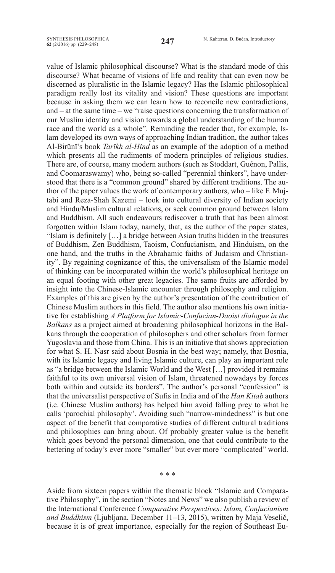value of Islamic philosophical discourse? What is the standard mode of this discourse? What became of visions of life and reality that can even now be discerned as pluralistic in the Islamic legacy? Has the Islamic philosophical paradigm really lost its vitality and vision? These questions are important because in asking them we can learn how to reconcile new contradictions, and – at the same time – we "raise questions concerning the transformation of our Muslim identity and vision towards a global understanding of the human race and the world as a whole". Reminding the reader that, for example, Islam developed its own ways of approaching Indian tradition, the author takes Al-Birūnī's book *Tarīkh al-Hind* as an example of the adoption of a method which presents all the rudiments of modern principles of religious studies. There are, of course, many modern authors (such as Stoddart, Guénon, Pallis, and Coomaraswamy) who, being so-called "perennial thinkers", have understood that there is a "common ground" shared by different traditions. The author of the paper values the work of contemporary authors, who – like F. Mujtabi and Reza-Shah Kazemi – look into cultural diversity of Indian society and Hindu/Muslim cultural relations, or seek common ground between Islam and Buddhism. All such endeavours rediscover a truth that has been almost forgotten within Islam today, namely, that, as the author of the paper states, "Islam is definitely […] a bridge between Asian truths hidden in the treasures of Buddhism, Zen Buddhism, Taoism, Confucianism, and Hinduism, on the one hand, and the truths in the Abrahamic faiths of Judaism and Christianity". By regaining cognizance of this, the universalism of the Islamic model of thinking can be incorporated within the world's philosophical heritage on an equal footing with other great legacies. The same fruits are afforded by insight into the Chinese-Islamic encounter through philosophy and religion. Examples of this are given by the author's presentation of the contribution of Chinese Muslim authors in this field. The author also mentions his own initiative for establishing *A Platform for Islamic-Confucian-Daoist dialogue in the Balkans* as a project aimed at broadening philosophical horizons in the Balkans through the cooperation of philosophers and other scholars from former Yugoslavia and those from China. This is an initiative that shows appreciation for what S. H. Nasr said about Bosnia in the best way; namely, that Bosnia, with its Islamic legacy and living Islamic culture, can play an important role as "a bridge between the Islamic World and the West […] provided it remains faithful to its own universal vision of Islam, threatened nowadays by forces both within and outside its borders". The author's personal "confession" is that the universalist perspective of Sufis in India and of the *Han Kitab* authors (i.e. Chinese Muslim authors) has helped him avoid falling prey to what he calls 'parochial philosophy'. Avoiding such "narrow-mindedness" is but one aspect of the benefit that comparative studies of different cultural traditions and philosophies can bring about. Of probably greater value is the benefit which goes beyond the personal dimension, one that could contribute to the bettering of today's ever more "smaller" but ever more "complicated" world.

Aside from sixteen papers within the thematic block "Islamic and Comparative Philosophy", in the section "Notes and News" we also publish a review of the International Conference *Comparative Perspectives: Islam, Confucianism and Buddhism* (Ljubljana, December 11–13, 2015), written by Maja Veselič, because it is of great importance, especially for the region of Southeast Eu-

\* \* \*